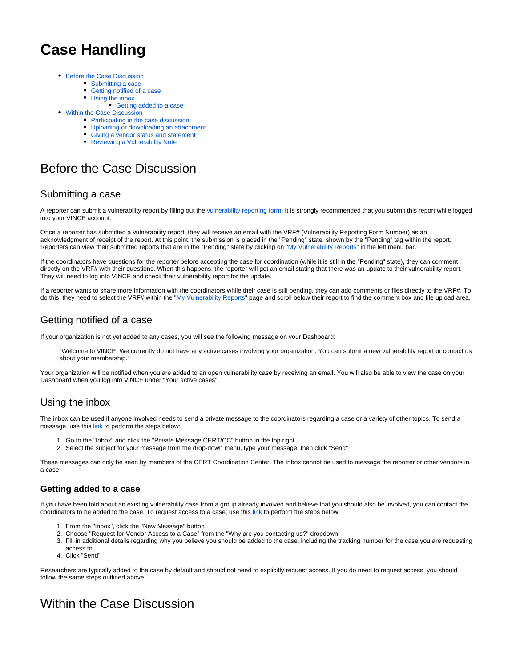# **Case Handling**

- [Before the Case Discussion](#page-0-0)
	- [Submitting a case](#page-0-1)
	- [Getting notified of a case](#page-0-2)
	- [Using the inbox](#page-0-3)
		- [Getting added to a case](#page-0-4)
- [Within the Case Discussion](#page-0-5)
	- [Participating in the case discussion](#page-0-6)
	- [Uploading or downloading an attachment](#page-1-0)
	- [Giving a vendor status and statement](#page-1-1)
	- [Reviewing a Vulnerability Note](#page-1-2)

# <span id="page-0-0"></span>Before the Case Discussion

### <span id="page-0-1"></span>Submitting a case

A reporter can submit a vulnerability report by filling out the [vulnerability reporting form.](https://kb.cert.org/vuls/vulcoordrequest/) It is strongly recommended that you submit this report while logged into your VINCE account.

Once a reporter has submitted a vulnerability report, they will receive an email with the VRF# (Vulnerability Reporting Form Number) as an acknowledgment of receipt of the report. At this point, the submission is placed in the "Pending" state, shown by the "Pending" tag within the report. Reporters can view their submitted reports that are in the "Pending" state by clicking on "[My Vulnerability Reports](https://kb.cert.org/vince/comm/reports/)" in the left menu bar.

If the coordinators have questions for the reporter before accepting the case for coordination (while it is still in the "Pending" state), they can comment directly on the VRF# with their questions. When this happens, the reporter will get an email stating that there was an update to their vulnerability report. They will need to log into VINCE and check their vulnerability report for the update.

If a reporter wants to share more information with the coordinators while their case is still pending, they can add comments or files directly to the VRF#. To do this, they need to select the VRF# within the "[My Vulnerability Reports"](https://kb.cert.org/vince/comm/reports/) page and scroll below their report to find the comment box and file upload area.

### <span id="page-0-2"></span>Getting notified of a case

If your organization is not yet added to any cases, you will see the following message on your Dashboard:

"Welcome to VINCE! We currently do not have any active cases involving your organization. You can submit a new vulnerability report or contact us about your membership."

Your organization will be notified when you are added to an open vulnerability case by receiving an email. You will also be able to view the case on your Dashboard when you log into VINCE under "Your active cases".

### <span id="page-0-3"></span>Using the inbox

The inbox can be used if anyone involved needs to send a private message to the coordinators regarding a case or a variety of other topics. To send a message, use this [link](https://kb.cert.org/vince/comm/sendmsg/) to perform the steps below:

- 1. Go to the "Inbox" and click the "Private Message CERT/CC" button in the top right
- 2. Select the subject for your message from the drop-down menu, type your message, then click "Send"

These messages can only be seen by members of the CERT Coordination Center. The Inbox cannot be used to message the reporter or other vendors in a case.

#### <span id="page-0-4"></span>**Getting added to a case**

If you have been told about an existing vulnerability case from a group already involved and believe that you should also be involved, you can contact the coordinators to be added to the case. To request access to a case, use this [link](https://kb.cert.org/vince/comm/sendmsg/5/) to perform the steps below:

- 1. From the "Inbox", click the "New Message" button
- 2. Choose "Request for Vendor Access to a Case" from the "Why are you contacting us?" dropdown
- 3. Fill in additional details regarding why you believe you should be added to the case, including the tracking number for the case you are requesting access to
- 4. Click "Send"

Researchers are typically added to the case by default and should not need to explicitly request access. If you do need to request access, you should follow the same steps outlined above.

# <span id="page-0-6"></span><span id="page-0-5"></span>Within the Case Discussion